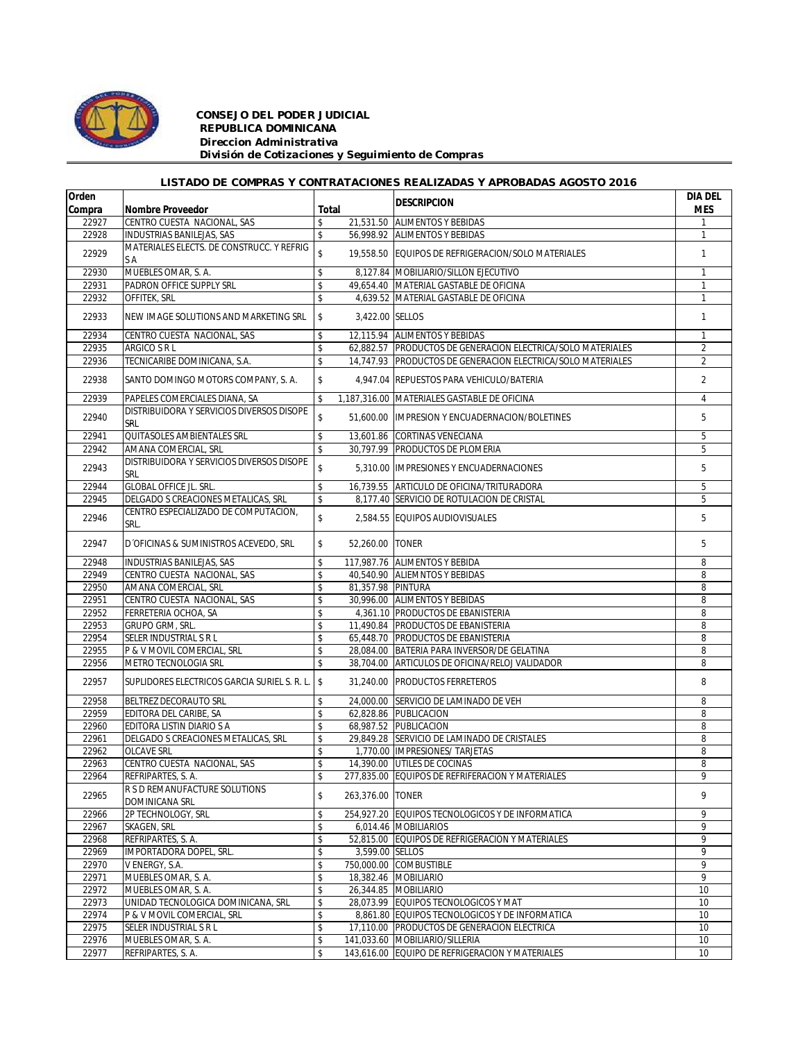

## *CONSEJO DEL PODER JUDICIAL REPUBLICA DOMINICANA Direccion Administrativa División de Cotizaciones y Seguimiento de Compras*

## *LISTADO DE COMPRAS Y CONTRATACIONES REALIZADAS Y APROBADAS AGOSTO 2016*

| Orden  |                                                  |       |                   | <b>IDESCRIPCION</b>                                         | DIA DEL        |
|--------|--------------------------------------------------|-------|-------------------|-------------------------------------------------------------|----------------|
| Compra | <b>Nombre Proveedor</b>                          | Total |                   |                                                             | <b>MES</b>     |
| 22927  | CENTRO CUESTA NACIONAL, SAS                      | \$    |                   | 21,531.50 ALIMENTOS Y BEBIDAS                               |                |
| 22928  | INDUSTRIAS BANILEJAS, SAS                        | \$    |                   | 56,998.92 ALIMENTOS Y BEBIDAS                               | $\mathbf{1}$   |
| 22929  | MATERIALES ELECTS. DE CONSTRUCC. Y REFRIG<br>SA  | \$    |                   | 19,558.50 EQUIPOS DE REFRIGERACION/SOLO MATERIALES          | $\mathbf{1}$   |
| 22930  | MUEBLES OMAR, S. A.                              | \$    |                   | 8,127.84 MOBILIARIO/SILLON EJECUTIVO                        | $\mathbf{1}$   |
| 22931  | PADRON OFFICE SUPPLY SRL                         | \$    |                   | 49,654.40 MATERIAL GASTABLE DE OFICINA                      | $\mathbf{1}$   |
| 22932  | OFFITEK, SRL                                     | \$    |                   | 4,639.52 MATERIAL GASTABLE DE OFICINA                       | $\mathbf{1}$   |
| 22933  | NEW IMAGE SOLUTIONS AND MARKETING SRL            | \$    | 3,422.00 SELLOS   |                                                             | $\mathbf{1}$   |
| 22934  | CENTRO CUESTA NACIONAL, SAS                      | \$    |                   | 12,115.94 ALIMENTOS Y BEBIDAS                               | $\mathbf{1}$   |
| 22935  | ARGICO S R L                                     | \$    |                   | 62,882.57 PRODUCTOS DE GENERACION ELECTRICA/SOLO MATERIALES | $\overline{2}$ |
| 22936  | TECNICARIBE DOMINICANA, S.A.                     | \$    |                   | 14,747.93 PRODUCTOS DE GENERACION ELECTRICA/SOLO MATERIALES | $\overline{2}$ |
| 22938  | SANTO DOMINGO MOTORS COMPANY, S. A.              | \$    |                   | 4.947.04 REPUESTOS PARA VEHICULO/BATERIA                    | $\overline{2}$ |
| 22939  | PAPELES COMERCIALES DIANA, SA                    | \$    |                   | 1,187,316.00 MATERIALES GASTABLE DE OFICINA                 | $\overline{4}$ |
| 22940  | DISTRIBUIDORA Y SERVICIOS DIVERSOS DISOPE<br>SRL | \$    | 51,600.00         | <b>IMPRESION Y ENCUADERNACION/BOLETINES</b>                 | 5              |
| 22941  | QUITASOLES AMBIENTALES SRL                       | \$    |                   | 13,601.86 CORTINAS VENECIANA                                | 5              |
| 22942  | AMANA COMERCIAL, SRL                             | \$    |                   | 30,797.99 PRODUCTOS DE PLOMERIA                             | 5              |
| 22943  | DISTRIBUIDORA Y SERVICIOS DIVERSOS DISOPE<br>SRL | \$    |                   | 5.310.00 IIMPRESIONES Y ENCUADERNACIONES                    | 5              |
| 22944  | <b>GLOBAL OFFICE JL. SRL.</b>                    | \$    |                   | 16,739.55 ARTICULO DE OFICINA/TRITURADORA                   | 5              |
| 22945  | DELGADO S CREACIONES METALICAS, SRL              | \$    |                   | 8.177.40 SERVICIO DE ROTULACION DE CRISTAL                  | 5              |
| 22946  | CENTRO ESPECIALIZADO DE COMPUTACION,<br>SRL.     | \$    |                   | 2.584.55 EQUIPOS AUDIOVISUALES                              | 5              |
| 22947  | D'OFICINAS & SUMINISTROS ACEVEDO, SRL            | \$    | 52,260.00 TONER   |                                                             | 5              |
| 22948  | INDUSTRIAS BANILEJAS, SAS                        | \$    |                   | 117.987.76 ALIMENTOS Y BEBIDA                               | 8              |
| 22949  | CENTRO CUESTA NACIONAL, SAS                      | \$    |                   | 40,540.90 ALIEMNTOS Y BEBIDAS                               | 8              |
| 22950  | AMANA COMERCIAL, SRL                             | \$    | 81,357.98 PINTURA |                                                             | 8              |
| 22951  | CENTRO CUESTA NACIONAL, SAS                      | \$    |                   | 30,996.00 ALIMENTOS Y BEBIDAS                               | 8              |
| 22952  | FERRETERIA OCHOA, SA                             | \$    |                   | 4,361.10 PRODUCTOS DE EBANISTERIA                           | 8              |
| 22953  | GRUPO GRM, SRL.                                  | \$    |                   | 11,490.84 PRODUCTOS DE EBANISTERIA                          | 8              |
| 22954  | SELER INDUSTRIAL S R L                           | \$    |                   | 65,448.70 PRODUCTOS DE EBANISTERIA                          | 8              |
| 22955  | P & V MOVIL COMERCIAL, SRL                       | \$    |                   | 28,084.00 BATERIA PARA INVERSOR/DE GELATINA                 | 8              |
| 22956  | METRO TECNOLOGIA SRL                             | \$    |                   | 38,704.00 ARTICULOS DE OFICINA/RELOJ VALIDADOR              | 8              |
| 22957  | SUPLIDORES ELECTRICOS GARCIA SURIEL S. R. L.     | \$    | 31,240.00         | <b>PRODUCTOS FERRETEROS</b>                                 | 8              |
| 22958  | BELTREZ DECORAUTO SRL                            | \$    |                   | 24,000.00 SERVICIO DE LAMINADO DE VEH                       | 8              |
| 22959  | EDITORA DEL CARIBE, SA                           | \$    |                   | 62,828.86 PUBLICACION                                       | 8              |
| 22960  | EDITORA LISTIN DIARIO S A                        | \$    |                   | 68,987.52 PUBLICACION                                       | 8              |
| 22961  | DELGADO S CREACIONES METALICAS, SRL              | \$    |                   | 29,849.28 SERVICIO DE LAMINADO DE CRISTALES                 | 8              |
| 22962  | <b>OLCAVE SRL</b>                                | \$    |                   | 1,770.00 IMPRESIONES/ TARJETAS                              | 8              |
| 22963  | CENTRO CUESTA NACIONAL, SAS                      | \$    |                   | 14,390.00 UTILES DE COCINAS                                 | 8              |
| 22964  | REFRIPARTES, S. A.                               | \$    |                   | 277,835.00 EQUIPOS DE REFRIFERACION Y MATERIALES            | 9              |
| 22965  | R S D REMANUFACTURE SOLUTIONS<br>DOMINICANA SRL  | \$    | 263,376.00 TONER  |                                                             | 9              |
| 22966  | 2P TECHNOLOGY, SRL                               | \$    |                   | 254,927.20 EQUIPOS TECNOLOGICOS Y DE INFORMATICA            | 9              |
| 22967  | SKAGEN, SRL                                      | \$    |                   | 6,014.46 MOBILIARIOS                                        | 9              |
| 22968  | REFRIPARTES, S. A.                               | \$    |                   | 52,815.00 EQUIPOS DE REFRIGERACION Y MATERIALES             | 9              |
| 22969  | IMPORTADORA DOPEL, SRL.                          | \$    | 3,599.00 SELLOS   |                                                             | 9              |
| 22970  | V ENERGY, S.A.                                   | \$    |                   | 750,000.00 COMBUSTIBLE                                      | 9              |
| 22971  | MUEBLES OMAR, S. A.                              | \$    |                   | 18,382.46   MOBILIARIO                                      | 9              |
| 22972  | MUEBLES OMAR, S. A.                              | \$    |                   | 26,344.85 MOBILIARIO                                        | 10             |
| 22973  | UNIDAD TECNOLOGICA DOMINICANA, SRL               | \$    |                   | 28,073.99 EQUIPOS TECNOLOGICOS Y MAT                        | 10             |
| 22974  | P & V MOVIL COMERCIAL, SRL                       | \$    |                   | 8.861.80 EQUIPOS TECNOLOGICOS Y DE INFORMATICA              | 10             |
| 22975  | SELER INDUSTRIAL S R L                           | \$    |                   | 17,110.00 PRODUCTOS DE GENERACION ELECTRICA                 | 10             |
| 22976  | MUEBLES OMAR, S. A.                              | \$    |                   | 141,033.60 MOBILIARIO/SILLERIA                              | 10             |
| 22977  | REFRIPARTES, S. A.                               | \$    |                   | 143,616.00 EQUIPO DE REFRIGERACION Y MATERIALES             | 10             |
|        |                                                  |       |                   |                                                             |                |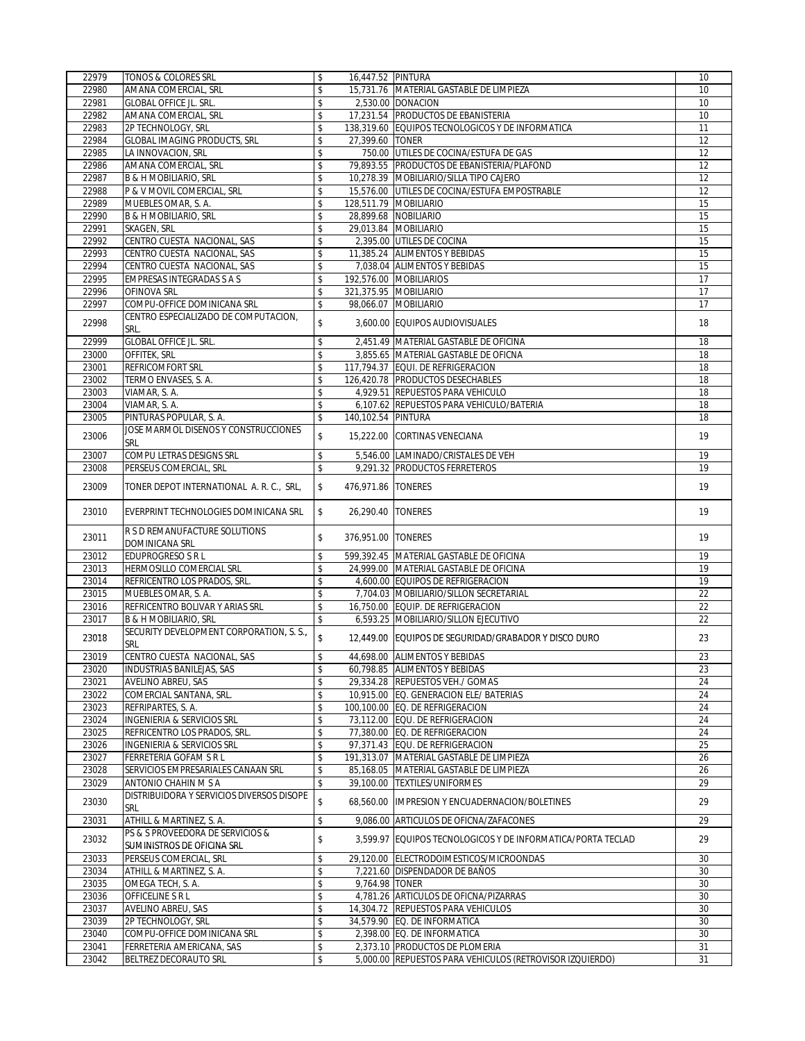| 22979 | TONOS & COLORES SRL                                            | \$<br>16,447.52 PINTURA    |                                                             | 10              |
|-------|----------------------------------------------------------------|----------------------------|-------------------------------------------------------------|-----------------|
| 22980 | AMANA COMERCIAL, SRL                                           | \$                         | 15,731.76 MATERIAL GASTABLE DE LIMPIEZA                     | 10              |
| 22981 | <b>GLOBAL OFFICE JL. SRL.</b>                                  | \$                         | 2,530.00 DONACION                                           | 10              |
| 22982 | AMANA COMERCIAL, SRL                                           | \$                         | 17.231.54 PRODUCTOS DE EBANISTERIA                          | 10              |
| 22983 | 2P TECHNOLOGY, SRL                                             | \$                         | 138,319.60 EQUIPOS TECNOLOGICOS Y DE INFORMATICA            | 11              |
| 22984 | <b>GLOBAL IMAGING PRODUCTS, SRL</b>                            | \$<br>27,399.60 TONER      |                                                             | 12              |
| 22985 | LA INNOVACION, SRL                                             | \$                         | 750.00 UTILES DE COCINA/ESTUFA DE GAS                       | 12              |
| 22986 | AMANA COMERCIAL, SRL                                           | \$                         | 79,893.55 PRODUCTOS DE EBANISTERIA/PLAFOND                  | 12              |
| 22987 | <b>B &amp; H MOBILIARIO, SRL</b>                               | \$                         | 10,278.39 MOBILIARIO/SILLA TIPO CAJERO                      | 12              |
| 22988 | P & V MOVIL COMERCIAL, SRL                                     | \$                         | 15,576.00 UTILES DE COCINA/ESTUFA EMPOSTRABLE               | 12              |
| 22989 | MUEBLES OMAR, S. A.                                            | \$                         | 128.511.79 MOBILIARIO                                       | 15              |
| 22990 | <b>B &amp; H MOBILIARIO, SRL</b>                               |                            | 28,899.68 NOBILIARIO                                        | 15              |
|       |                                                                | \$                         |                                                             |                 |
| 22991 | SKAGEN, SRL                                                    | \$                         | 29,013.84 MOBILIARIO                                        | 15              |
| 22992 | CENTRO CUESTA NACIONAL, SAS                                    | \$                         | 2,395.00 UTILES DE COCINA                                   | 15              |
| 22993 | CENTRO CUESTA NACIONAL, SAS                                    | \$                         | 11,385.24 ALIMENTOS Y BEBIDAS                               | 15              |
| 22994 | CENTRO CUESTA NACIONAL, SAS                                    | \$                         | 7,038.04 ALIMENTOS Y BEBIDAS                                | 15              |
| 22995 | <b>EMPRESAS INTEGRADAS S A S</b>                               | \$                         | 192,576.00 MOBILIARIOS                                      | 17              |
| 22996 | OFINOVA SRL                                                    | \$                         | 321,375.95 MOBILIARIO                                       | 17              |
| 22997 | COMPU-OFFICE DOMINICANA SRL                                    | \$                         | 98,066.07 MOBILIARIO                                        | 17              |
| 22998 | CENTRO ESPECIALIZADO DE COMPUTACION,<br>SRL.                   | \$                         | 3,600.00 EQUIPOS AUDIOVISUALES                              | 18              |
| 22999 | GLOBAL OFFICE JL. SRL.                                         | \$                         | 2,451.49 MATERIAL GASTABLE DE OFICINA                       | 18              |
| 23000 | OFFITEK, SRL                                                   | \$                         | 3,855.65 MATERIAL GASTABLE DE OFICNA                        | 18              |
| 23001 | REFRICOMFORT SRL                                               | \$                         | 117,794.37 EQUI. DE REFRIGERACION                           | 18              |
| 23002 | TERMO ENVASES, S. A.                                           | \$                         | 126,420.78 PRODUCTOS DESECHABLES                            | 18              |
| 23003 | VIAMAR, S. A.                                                  | \$                         | 4.929.51 REPUESTOS PARA VEHICULO                            | 18              |
|       |                                                                |                            |                                                             |                 |
| 23004 | VIAMAR, S. A.<br>PINTURAS POPULAR, S. A.                       | \$                         | 6,107.62 REPUESTOS PARA VEHICULO/BATERIA                    | 18<br>18        |
| 23005 |                                                                | \$<br>140,102.54 PINTURA   |                                                             |                 |
| 23006 | JOSE MARMOL DISENOS Y CONSTRUCCIONES<br>SRL                    | \$                         | 15.222.00 CORTINAS VENECIANA                                | 19              |
| 23007 | COMPU LETRAS DESIGNS SRL                                       | \$                         | 5,546.00 LAMINADO/CRISTALES DE VEH                          | 19              |
| 23008 | PERSEUS COMERCIAL, SRL                                         | \$                         | 9,291.32 PRODUCTOS FERRETEROS                               | 19              |
| 23009 | TONER DEPOT INTERNATIONAL A. R. C., SRL,                       | \$<br>476,971.86   TONERES |                                                             | 19              |
| 23010 | EVERPRINT TECHNOLOGIES DOMINICANA SRL                          | \$<br>26,290.40   TONERES  |                                                             | 19              |
| 23011 | R S D REMANUFACTURE SOLUTIONS<br>DOMINICANA SRL                | \$<br>376,951.00   TONERES |                                                             | 19              |
| 23012 | <b>EDUPROGRESO S R L</b>                                       | \$                         | 599,392.45 MATERIAL GASTABLE DE OFICINA                     | 19              |
| 23013 | HERMOSILLO COMERCIAL SRL                                       |                            | 24,999.00 MATERIAL GASTABLE DE OFICINA                      | $\overline{19}$ |
|       |                                                                | \$                         |                                                             |                 |
| 23014 | REFRICENTRO LOS PRADOS, SRL.                                   | \$                         | 4,600.00 EQUIPOS DE REFRIGERACION                           | 19              |
| 23015 | MUEBLES OMAR, S. A.                                            | \$                         | 7,704.03 MOBILIARIO/SILLON SECRETARIAL                      | $\overline{22}$ |
| 23016 | REFRICENTRO BOLIVAR Y ARIAS SRL                                | \$                         | 16,750.00 EQUIP. DE REFRIGERACION                           | 22              |
| 23017 | <b>B &amp; H MOBILIARIO, SRL</b>                               | \$                         | 6,593.25 MOBILIARIO/SILLON EJECUTIVO                        | 22              |
| 23018 | SECURITY DEVELOPMENT CORPORATION, S. S.,<br><b>SRL</b>         | \$                         | 12,449.00 EQUIPOS DE SEGURIDAD/GRABADOR Y DISCO DURO        | 23              |
| 23019 | CENTRO CUESTA NACIONAL, SAS                                    | \$                         | 44,698.00 ALIMENTOS Y BEBIDAS                               | 23              |
| 23020 | INDUSTRIAS BANILEJAS, SAS                                      | \$                         | 60,798.85 ALIMENTOS Y BEBIDAS                               | 23              |
| 23021 | AVELINO ABREU, SAS                                             | \$                         | 29,334.28 REPUESTOS VEH./ GOMAS                             | 24              |
| 23022 | COMERCIAL SANTANA, SRL.                                        | \$                         | 10.915.00 EQ. GENERACION ELE/ BATERIAS                      | 24              |
| 23023 | REFRIPARTES, S. A.                                             | \$                         | 100,100.00 EQ. DE REFRIGERACION                             | 24              |
| 23024 | <b>INGENIERIA &amp; SERVICIOS SRL</b>                          | \$                         | 73,112.00 EQU. DE REFRIGERACION                             | 24              |
| 23025 | REFRICENTRO LOS PRADOS, SRL.                                   | \$                         | 77,380.00 EQ. DE REFRIGERACION                              | 24              |
| 23026 | INGENIERIA & SERVICIOS SRL                                     | \$                         | 97,371.43 EQU. DE REFRIGERACION                             | 25              |
| 23027 | FERRETERIA GOFAM S R L                                         | \$                         | 191,313.07 MATERIAL GASTABLE DE LIMPIEZA                    | 26              |
| 23028 | SERVICIOS EMPRESARIALES CANAAN SRL                             | \$                         | 85,168.05 MATERIAL GASTABLE DE LIMPIEZA                     | 26              |
| 23029 |                                                                | \$                         | <b>TEXTILES/UNIFORMES</b>                                   | 29              |
|       | ANTONIO CHAHIN M S A                                           | 39,100.00                  |                                                             |                 |
| 23030 | DISTRIBUIDORA Y SERVICIOS DIVERSOS DISOPE<br>SRL               | \$<br>68,560.00            | <b>IMPRESION Y ENCUADERNACION/BOLETINES</b>                 | 29              |
| 23031 | ATHILL & MARTINEZ, S. A.                                       | \$                         | 9.086.00 ARTICULOS DE OFICNA/ZAFACONES                      | 29              |
| 23032 | PS & S PROVEEDORA DE SERVICIOS &<br>SUMINISTROS DE OFICINA SRL | \$                         | 3.599.97 EQUIPOS TECNOLOGICOS Y DE INFORMATICA/PORTA TECLAD | 29              |
| 23033 | PERSEUS COMERCIAL, SRL                                         | \$                         | 29,120.00 ELECTRODOIMESTICOS/MICROONDAS                     | 30              |
| 23034 | ATHILL & MARTINEZ, S. A.                                       | \$                         | 7,221.60 DISPENDADOR DE BAÑOS                               | 30              |
| 23035 |                                                                |                            |                                                             | 30              |
|       | OMEGA TECH, S. A.                                              | \$<br>9,764.98 TONER       |                                                             |                 |
| 23036 | OFFICELINE S R L                                               | \$                         | 4,781.26 ARTICULOS DE OFICNA/PIZARRAS                       | 30              |
| 23037 | AVELINO ABREU, SAS                                             | \$                         | 14,304.72 REPUESTOS PARA VEHICULOS                          | 30              |
| 23039 | 2P TECHNOLOGY, SRL                                             | \$                         | 34,579.90 EQ. DE INFORMATICA                                | 30              |
| 23040 | COMPU-OFFICE DOMINICANA SRL                                    | \$                         | 2,398.00 EQ. DE INFORMATICA                                 | 30              |
| 23041 | FERRETERIA AMERICANA, SAS                                      | \$                         | 2,373.10 PRODUCTOS DE PLOMERIA                              | 31              |
| 23042 | BELTREZ DECORAUTO SRL                                          | \$                         | 5,000.00 REPUESTOS PARA VEHICULOS (RETROVISOR IZQUIERDO)    | 31              |